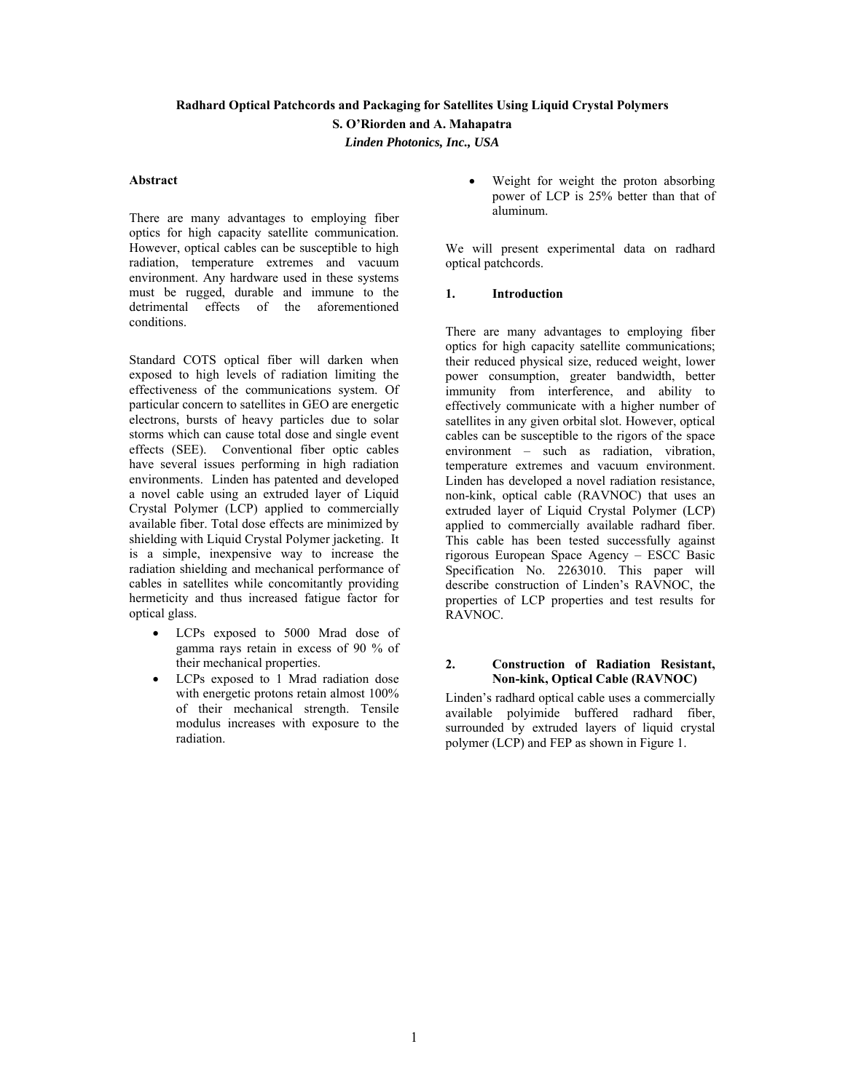#### **Radhard Optical Patchcords and Packaging for Satellites Using Liquid Crystal Polymers**

**S. O'Riorden and A. Mahapatra** 

*Linden Photonics, Inc., USA* 

### **Abstract**

There are many advantages to employing fiber optics for high capacity satellite communication. However, optical cables can be susceptible to high radiation, temperature extremes and vacuum environment. Any hardware used in these systems must be rugged, durable and immune to the detrimental effects of the aforementioned conditions.

Standard COTS optical fiber will darken when exposed to high levels of radiation limiting the effectiveness of the communications system. Of particular concern to satellites in GEO are energetic electrons, bursts of heavy particles due to solar storms which can cause total dose and single event effects (SEE). Conventional fiber optic cables have several issues performing in high radiation environments. Linden has patented and developed a novel cable using an extruded layer of Liquid Crystal Polymer (LCP) applied to commercially available fiber. Total dose effects are minimized by shielding with Liquid Crystal Polymer jacketing. It is a simple, inexpensive way to increase the radiation shielding and mechanical performance of cables in satellites while concomitantly providing hermeticity and thus increased fatigue factor for optical glass.

- LCPs exposed to 5000 Mrad dose of gamma rays retain in excess of 90 % of their mechanical properties.
- LCPs exposed to 1 Mrad radiation dose with energetic protons retain almost 100% of their mechanical strength. Tensile modulus increases with exposure to the radiation.

 Weight for weight the proton absorbing power of LCP is 25% better than that of aluminum.

We will present experimental data on radhard optical patchcords.

## **1. Introduction**

There are many advantages to employing fiber optics for high capacity satellite communications; their reduced physical size, reduced weight, lower power consumption, greater bandwidth, better immunity from interference, and ability to effectively communicate with a higher number of satellites in any given orbital slot. However, optical cables can be susceptible to the rigors of the space environment – such as radiation, vibration, temperature extremes and vacuum environment. Linden has developed a novel radiation resistance, non-kink, optical cable (RAVNOC) that uses an extruded layer of Liquid Crystal Polymer (LCP) applied to commercially available radhard fiber. This cable has been tested successfully against rigorous European Space Agency – ESCC Basic Specification No. 2263010. This paper will describe construction of Linden's RAVNOC, the properties of LCP properties and test results for RAVNOC.

#### **2. Construction of Radiation Resistant, Non-kink, Optical Cable (RAVNOC)**

Linden's radhard optical cable uses a commercially available polyimide buffered radhard fiber, surrounded by extruded layers of liquid crystal polymer (LCP) and FEP as shown in Figure 1.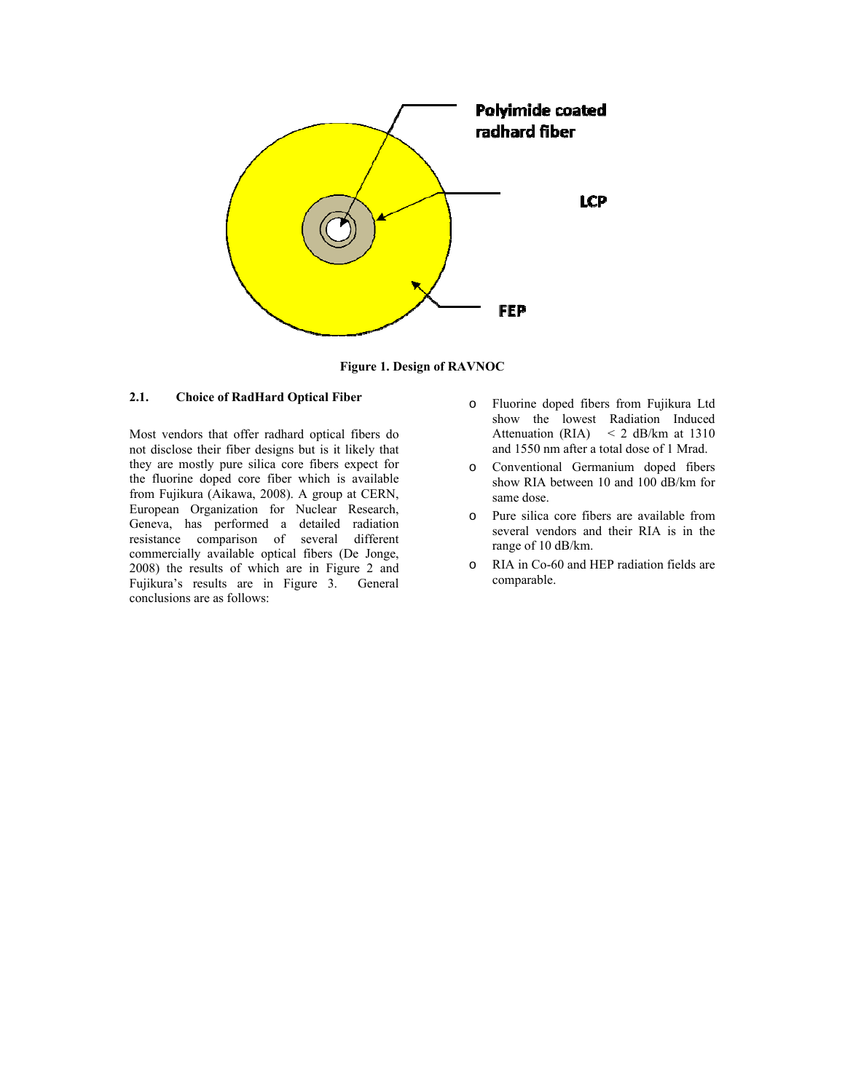

**Figure 1. Design of RAVNOC** 

## **2.1. Choice of RadHard Optical Fiber**

Most vendors that offer radhard optical fibers do not disclose their fiber designs but is it likely that they are mostly pure silica core fibers expect for the fluorine doped core fiber which is available from Fujikura (Aikawa, 2008). A group at CERN, European Organization for Nuclear Research, Geneva, has performed a detailed radiation resistance comparison of several different commercially available optical fibers (De Jonge, 2008) the results of which are in Figure 2 and Fujikura's results are in Figure 3. General conclusions are as follows:

- o Fluorine doped fibers from Fujikura Ltd show the lowest Radiation Induced Attenuation (RIA) < 2 dB/km at 1310 and 1550 nm after a total dose of 1 Mrad.
- o Conventional Germanium doped fibers show RIA between 10 and 100 dB/km for same dose.
- o Pure silica core fibers are available from several vendors and their RIA is in the range of 10 dB/km.
- o RIA in Co-60 and HEP radiation fields are comparable.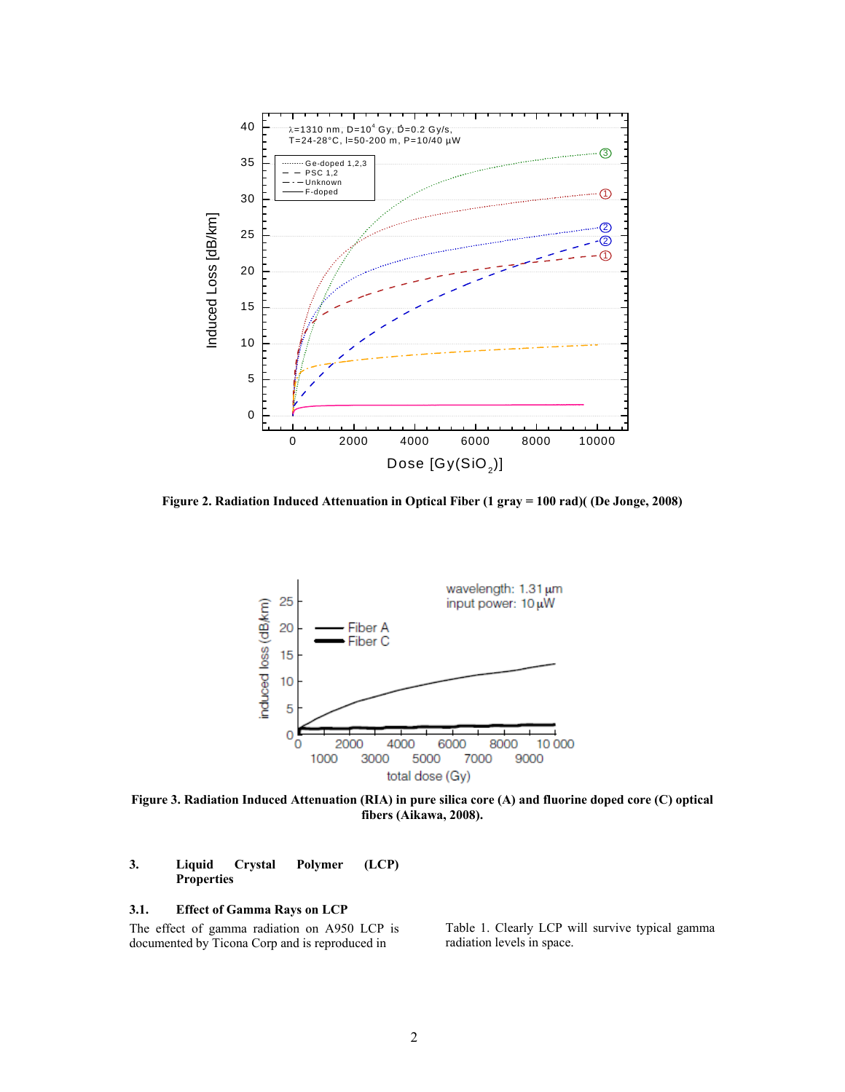

**Figure 2. Radiation Induced Attenuation in Optical Fiber (1 gray = 100 rad)( (De Jonge, 2008)** 



**Figure 3. Radiation Induced Attenuation (RIA) in pure silica core (A) and fluorine doped core (C) optical fibers (Aikawa, 2008).** 

# **3. Liquid Crystal Polymer (LCP) Properties**

## **3.1. Effect of Gamma Rays on LCP**

The effect of gamma radiation on A950 LCP is documented by Ticona Corp and is reproduced in

Table 1. Clearly LCP will survive typical gamma radiation levels in space.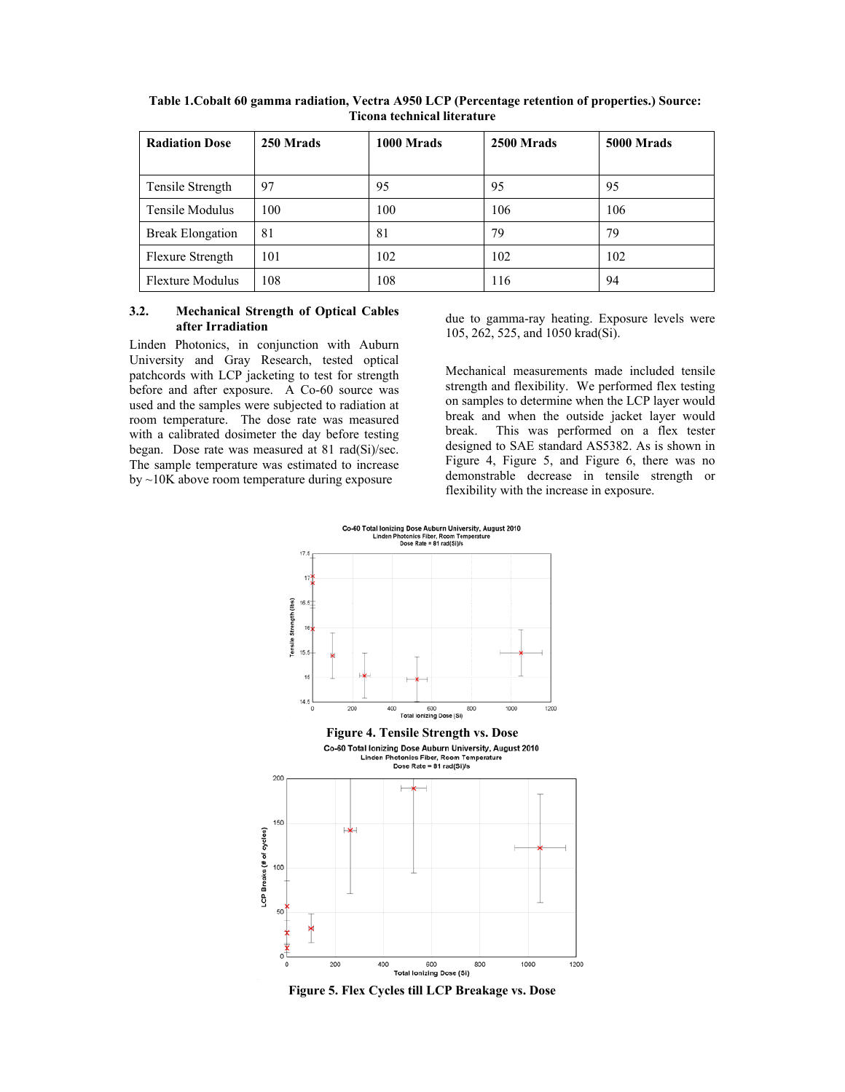| <b>Radiation Dose</b>   | 250 Mrads | 1000 Mrads | 2500 Mrads | 5000 Mrads |
|-------------------------|-----------|------------|------------|------------|
| Tensile Strength        | 97        | 95         | 95         | 95         |
| Tensile Modulus         | 100       | 100        | 106        | 106        |
| <b>Break Elongation</b> | 81        | 81         | 79         | 79         |
| Flexure Strength        | 101       | 102        | 102        | 102        |
| <b>Flexture Modulus</b> | 108       | 108        | 116        | 94         |

**Table 1.Cobalt 60 gamma radiation, Vectra A950 LCP (Percentage retention of properties.) Source: Ticona technical literature** 

### **3.2. Mechanical Strength of Optical Cables after Irradiation**

Linden Photonics, in conjunction with Auburn University and Gray Research, tested optical patchcords with LCP jacketing to test for strength before and after exposure. A Co-60 source was used and the samples were subjected to radiation at room temperature. The dose rate was measured with a calibrated dosimeter the day before testing began. Dose rate was measured at 81 rad(Si)/sec. The sample temperature was estimated to increase by ~10K above room temperature during exposure

due to gamma-ray heating. Exposure levels were 105, 262, 525, and 1050 krad(Si).

Mechanical measurements made included tensile strength and flexibility. We performed flex testing on samples to determine when the LCP layer would break and when the outside jacket layer would break. This was performed on a flex tester designed to SAE standard AS5382. As is shown in Figure 4, Figure 5, and Figure 6, there was no demonstrable decrease in tensile strength or flexibility with the increase in exposure.



**Figure 5. Flex Cycles till LCP Breakage vs. Dose**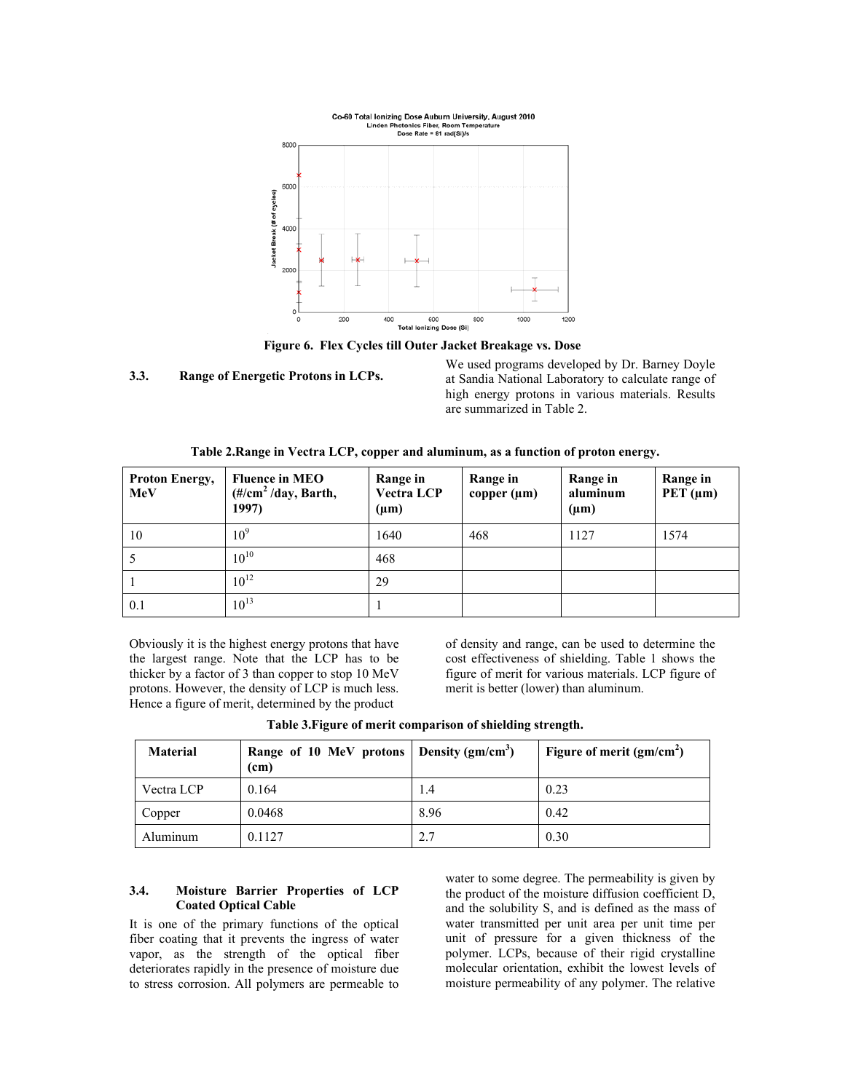

**Figure 6. Flex Cycles till Outer Jacket Breakage vs. Dose** 

**3.3. Range of Energetic Protons in LCPs.** 

We used programs developed by Dr. Barney Doyle at Sandia National Laboratory to calculate range of high energy protons in various materials. Results are summarized in Table 2.

| <b>Proton Energy,</b><br><b>MeV</b> | <b>Fluence in MEO</b><br>$(\frac{\text{#}}{\text{cm}^2}/\text{day}, \text{Barth})$<br>1997) | Range in<br><b>Vectra LCP</b><br>$(\mu m)$ | Range in<br>copper $(\mu m)$ | Range in<br>aluminum<br>$(\mu m)$ | Range in<br>PET $(\mu m)$ |
|-------------------------------------|---------------------------------------------------------------------------------------------|--------------------------------------------|------------------------------|-----------------------------------|---------------------------|
| 10                                  | 10 <sup>9</sup>                                                                             | 1640                                       | 468                          | 1127                              | 1574                      |
|                                     | $10^{10}$                                                                                   | 468                                        |                              |                                   |                           |
|                                     | $10^{12}$                                                                                   | 29                                         |                              |                                   |                           |
| 0.1                                 | $10^{13}$                                                                                   |                                            |                              |                                   |                           |

Obviously it is the highest energy protons that have the largest range. Note that the LCP has to be thicker by a factor of 3 than copper to stop 10 MeV protons. However, the density of LCP is much less. Hence a figure of merit, determined by the product

of density and range, can be used to determine the cost effectiveness of shielding. Table 1 shows the figure of merit for various materials. LCP figure of merit is better (lower) than aluminum.

| <b>Material</b> | Range of 10 MeV protons   Density (gm/cm <sup>3</sup> )<br>(c <sub>m</sub> ) | Figure of merit $(gm/cm2)$ |
|-----------------|------------------------------------------------------------------------------|----------------------------|

Vectra LCP 0.164 1.4 0.23 Copper 0.0468 8.96 0.42 Aluminum 0.1127 2.7 0.30

**Table 3.Figure of merit comparison of shielding strength.** 

## **3.4. Moisture Barrier Properties of LCP Coated Optical Cable**

It is one of the primary functions of the optical fiber coating that it prevents the ingress of water vapor, as the strength of the optical fiber deteriorates rapidly in the presence of moisture due to stress corrosion. All polymers are permeable to

water to some degree. The permeability is given by the product of the moisture diffusion coefficient D, and the solubility S, and is defined as the mass of water transmitted per unit area per unit time per unit of pressure for a given thickness of the polymer. LCPs, because of their rigid crystalline molecular orientation, exhibit the lowest levels of moisture permeability of any polymer. The relative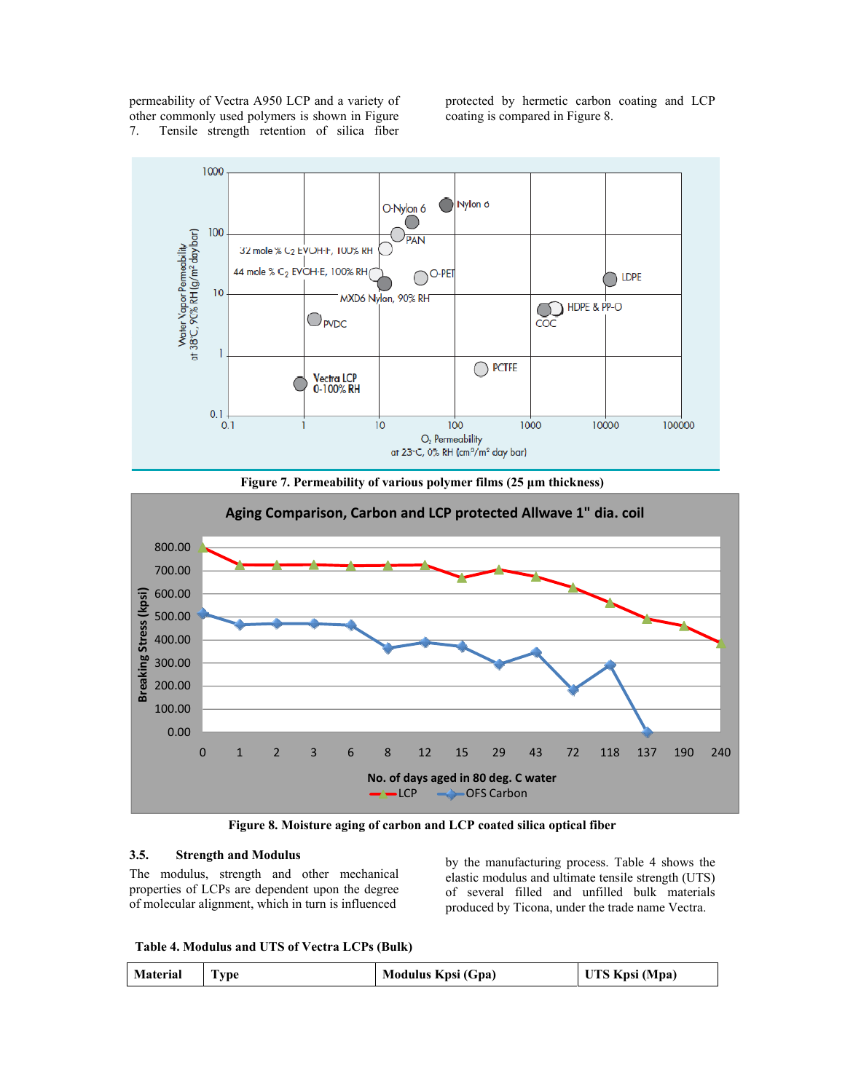permeability of Vectra A950 LCP and a variety of other commonly used polymers is shown in Figure 7. Tensile strength retention of silica fiber

protected by hermetic carbon coating and LCP coating is compared in Figure 8.







**Figure 8. Moisture aging of carbon and LCP coated silica optical fiber** 

#### **3.5. Strength and Modulus**

The modulus, strength and other mechanical properties of LCPs are dependent upon the degree of molecular alignment, which in turn is influenced

by the manufacturing process. Table 4 shows the elastic modulus and ultimate tensile strength (UTS) of several filled and unfilled bulk materials produced by Ticona, under the trade name Vectra.

**Table 4. Modulus and UTS of Vectra LCPs (Bulk)** 

| <b>Material</b><br>UTS Kpsi (Mpa)<br>Modulus Kpsi (Gpa)<br>1 vpe |  |
|------------------------------------------------------------------|--|
|------------------------------------------------------------------|--|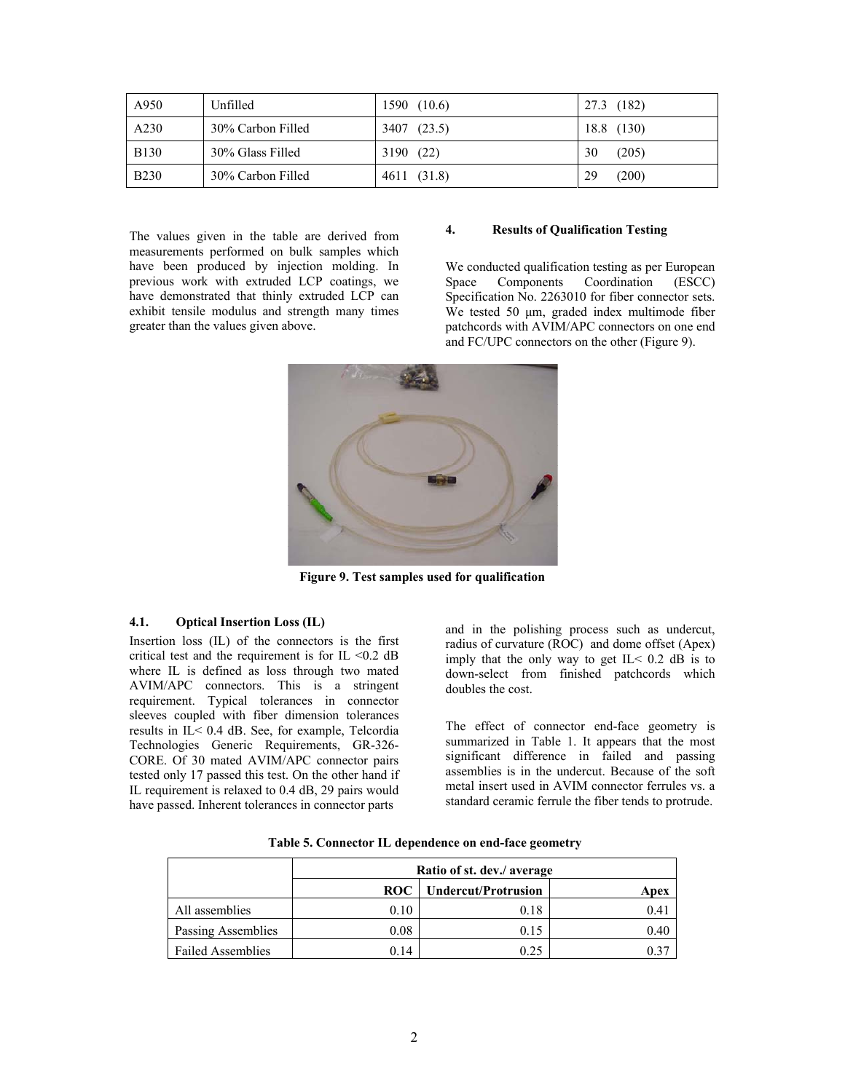| A950        | Unfilled          | (10.6)<br>1590 | (182)<br>27.3 |
|-------------|-------------------|----------------|---------------|
| A230        | 30% Carbon Filled | 3407<br>(23.5) | (130)<br>18.8 |
| <b>B130</b> | 30% Glass Filled  | (22)<br>3190   | 30<br>(205)   |
| <b>B230</b> | 30% Carbon Filled | 4611 (31.8)    | 29<br>(200)   |

The values given in the table are derived from measurements performed on bulk samples which have been produced by injection molding. In previous work with extruded LCP coatings, we have demonstrated that thinly extruded LCP can exhibit tensile modulus and strength many times greater than the values given above.

## **4. Results of Qualification Testing**

We conducted qualification testing as per European Space Components Coordination (ESCC) Specification No. 2263010 for fiber connector sets. We tested 50 μm, graded index multimode fiber patchcords with AVIM/APC connectors on one end and FC/UPC connectors on the other (Figure 9).



**Figure 9. Test samples used for qualification** 

### **4.1. Optical Insertion Loss (IL)**

Insertion loss (IL) of the connectors is the first critical test and the requirement is for IL  $\leq 0.2$  dB where IL is defined as loss through two mated AVIM/APC connectors. This is a stringent requirement. Typical tolerances in connector sleeves coupled with fiber dimension tolerances results in IL< 0.4 dB. See, for example, Telcordia Technologies Generic Requirements, GR-326- CORE. Of 30 mated AVIM/APC connector pairs tested only 17 passed this test. On the other hand if IL requirement is relaxed to 0.4 dB, 29 pairs would have passed. Inherent tolerances in connector parts

and in the polishing process such as undercut, radius of curvature (ROC) and dome offset (Apex) imply that the only way to get  $IL < 0.2$  dB is to down-select from finished patchcords which doubles the cost.

The effect of connector end-face geometry is summarized in Table 1. It appears that the most significant difference in failed and passing assemblies is in the undercut. Because of the soft metal insert used in AVIM connector ferrules vs. a standard ceramic ferrule the fiber tends to protrude.

|                          | Ratio of st. dev./ average |      |      |  |
|--------------------------|----------------------------|------|------|--|
|                          | Apex                       |      |      |  |
| All assemblies           | 0.10                       | 0.18 | 0.41 |  |
| Passing Assemblies       | 0.08                       | 0.15 | 0.40 |  |
| <b>Failed Assemblies</b> | 0.14                       | 0.25 | 0.37 |  |

**Table 5. Connector IL dependence on end-face geometry**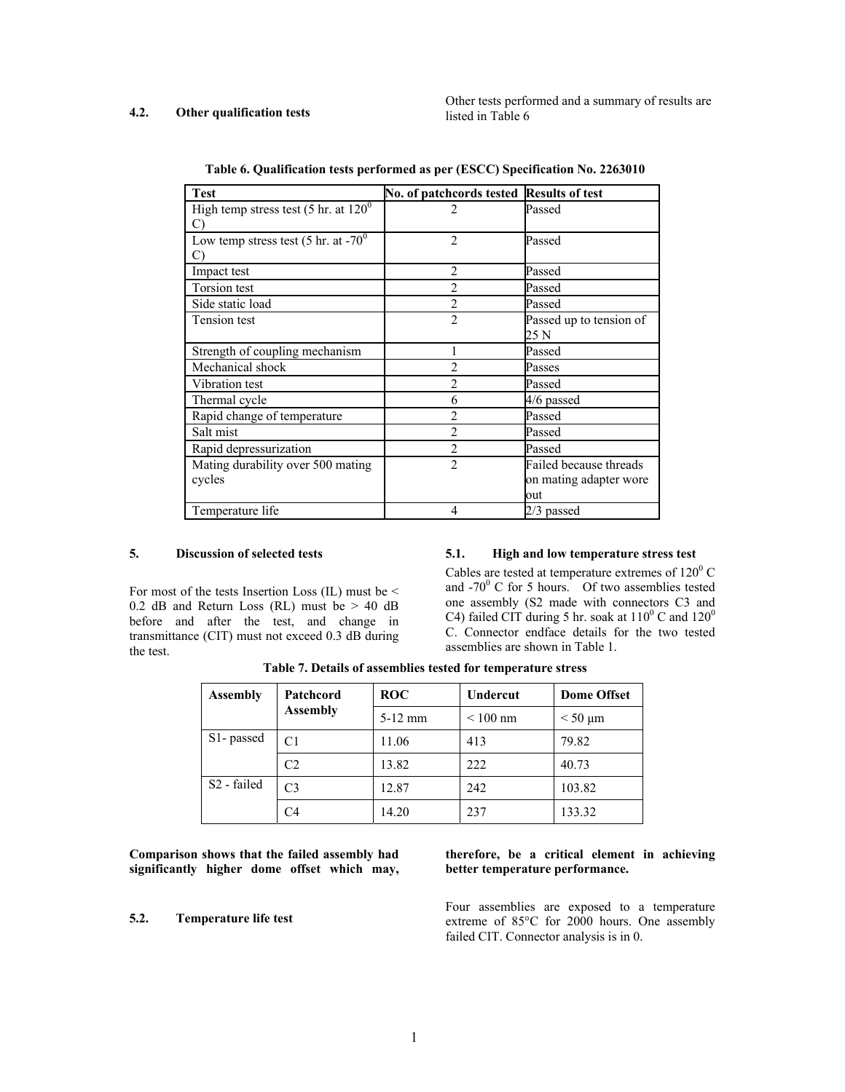### **4.2. Other qualification tests**

Other tests performed and a summary of results are listed in Table 6

| <b>Test</b>                                   | No. of patchcords tested Results of test |                         |
|-----------------------------------------------|------------------------------------------|-------------------------|
| High temp stress test (5 hr. at $120^{\circ}$ | $\mathfrak{D}$                           | Passed                  |
| C)                                            |                                          |                         |
| Low temp stress test (5 hr. at $-70^0$ )      | $\overline{2}$                           | Passed                  |
|                                               |                                          |                         |
| Impact test                                   | $\overline{2}$                           | Passed                  |
| Torsion test                                  | $\overline{c}$                           | Passed                  |
| Side static load                              | $\overline{2}$                           | Passed                  |
| Tension test                                  | $\overline{2}$                           | Passed up to tension of |
|                                               |                                          | 25 N                    |
| Strength of coupling mechanism                |                                          | Passed                  |
| Mechanical shock                              | $\overline{c}$                           | Passes                  |
| Vibration test                                | $\overline{c}$                           | Passed                  |
| Thermal cycle                                 | 6                                        | 4/6 passed              |
| Rapid change of temperature                   | $\overline{c}$                           | Passed                  |
| Salt mist                                     | $\overline{2}$                           | Passed                  |
| Rapid depressurization                        | $\overline{2}$                           | Passed                  |
| Mating durability over 500 mating             | $\overline{2}$                           | Failed because threads  |
| cycles                                        |                                          | on mating adapter wore  |
|                                               |                                          | out                     |
| Temperature life                              | 4                                        | 2/3 passed              |

**Table 6. Qualification tests performed as per (ESCC) Specification No. 2263010** 

### **5. Discussion of selected tests**

For most of the tests Insertion Loss (IL) must be < 0.2 dB and Return Loss (RL) must be  $> 40$  dB before and after the test, and change in transmittance (CIT) must not exceed 0.3 dB during the test.

## **5.1. High and low temperature stress test**

Cables are tested at temperature extremes of  $120^{\circ}$  C and  $-70^{\circ}$  C for 5 hours. Of two assemblies tested one assembly (S2 made with connectors C3 and C4) failed CIT during 5 hr. soak at  $110^{\circ}$  C and  $120^{\circ}$ C. Connector endface details for the two tested assemblies are shown in Table 1.

| <b>Assembly</b>         | Patchcord<br><b>Assembly</b> | <b>ROC</b> | <b>Undercut</b> | <b>Dome Offset</b> |
|-------------------------|------------------------------|------------|-----------------|--------------------|
|                         |                              | $5-12$ mm  | $\leq 100$ nm   | $<$ 50 $\mu$ m     |
| S <sub>1</sub> - passed | C1                           | 11.06      | 413             | 79.82              |
|                         | C2                           | 13.82      | 222             | 40.73              |
| S <sub>2</sub> - failed | C3                           | 12.87      | 242             | 103.82             |
|                         | C4                           | 14.20      | 237             | 133.32             |

**Table 7. Details of assemblies tested for temperature stress** 

**Comparison shows that the failed assembly had significantly higher dome offset which may,** 

# **5.2. Temperature life test**

## **therefore, be a critical element in achieving better temperature performance.**

Four assemblies are exposed to a temperature extreme of 85°C for 2000 hours. One assembly failed CIT. Connector analysis is in 0.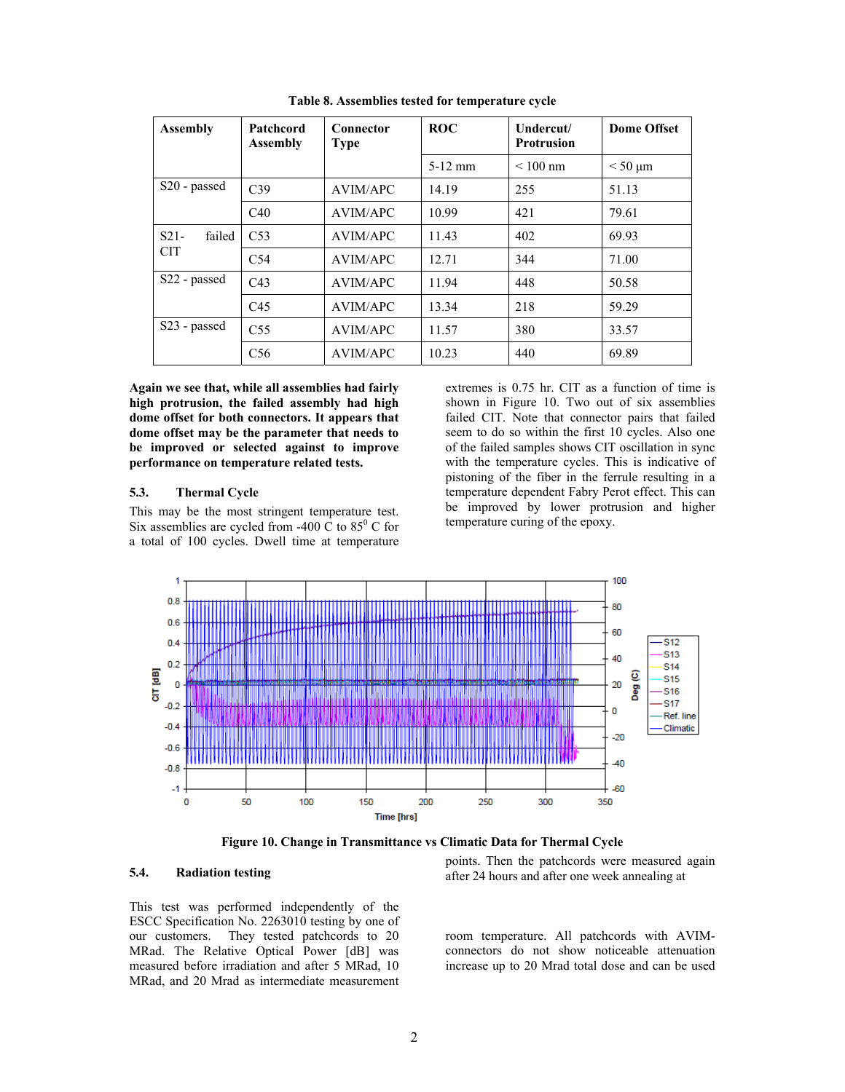| <b>Assembly</b>                | Patchcord<br><b>Assembly</b> | Connector<br><b>Type</b> | <b>ROC</b> | Undercut/<br><b>Protrusion</b> | <b>Dome Offset</b> |
|--------------------------------|------------------------------|--------------------------|------------|--------------------------------|--------------------|
|                                |                              |                          | $5-12$ mm  | $\leq 100$ nm                  | $<$ 50 $\mu$ m     |
| S <sub>20</sub> - passed       | C <sub>39</sub>              | <b>AVIM/APC</b>          | 14.19      | 255                            | 51.13              |
|                                | C40                          | AVIM/APC                 | 10.99      | 421                            | 79.61              |
| $S21-$<br>failed<br><b>CIT</b> | C <sub>53</sub>              | <b>AVIM/APC</b>          | 11.43      | 402                            | 69.93              |
|                                | C <sub>54</sub>              | AVIM/APC                 | 12.71      | 344                            | 71.00              |
| S22 - passed                   | C43                          | AVIM/APC                 | 11.94      | 448                            | 50.58              |
|                                | C45                          | <b>AVIM/APC</b>          | 13.34      | 218                            | 59.29              |
| S23 - passed                   | C <sub>55</sub>              | <b>AVIM/APC</b>          | 11.57      | 380                            | 33.57              |
|                                | C56                          | <b>AVIM/APC</b>          | 10.23      | 440                            | 69.89              |

**Table 8. Assemblies tested for temperature cycle** 

**Again we see that, while all assemblies had fairly high protrusion, the failed assembly had high dome offset for both connectors. It appears that dome offset may be the parameter that needs to be improved or selected against to improve performance on temperature related tests.** 

### **5.3. Thermal Cycle**

This may be the most stringent temperature test. Six assemblies are cycled from -400  $\dot{C}$  to 85<sup>0</sup> C for a total of 100 cycles. Dwell time at temperature

extremes is 0.75 hr. CIT as a function of time is shown in Figure 10. Two out of six assemblies failed CIT. Note that connector pairs that failed seem to do so within the first 10 cycles. Also one of the failed samples shows CIT oscillation in sync with the temperature cycles. This is indicative of pistoning of the fiber in the ferrule resulting in a temperature dependent Fabry Perot effect. This can be improved by lower protrusion and higher temperature curing of the epoxy.



**Figure 10. Change in Transmittance vs Climatic Data for Thermal Cycle** 

## **5.4. Radiation testing**

This test was performed independently of the ESCC Specification No. 2263010 testing by one of our customers. They tested patchcords to 20 MRad. The Relative Optical Power [dB] was measured before irradiation and after 5 MRad, 10 MRad, and 20 Mrad as intermediate measurement

points. Then the patchcords were measured again after 24 hours and after one week annealing at

room temperature. All patchcords with AVIMconnectors do not show noticeable attenuation increase up to 20 Mrad total dose and can be used